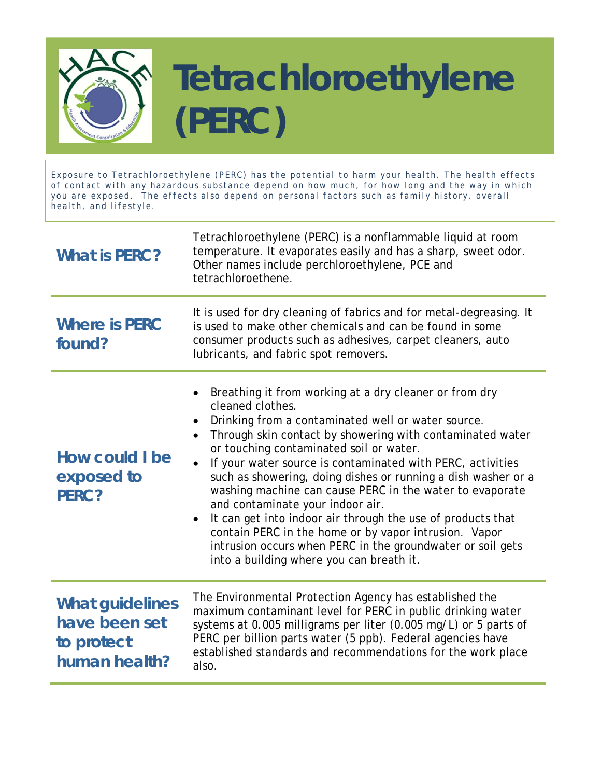

Exposure to Tetrachloroethylene (PERC) has the potential to harm your health. The health effects of contact with any hazardous substance depend on how much, for how long and the way in which you are exposed. The effects also depend on personal factors such as family history, overall health, and lifestyle.

| <b>What is PERC?</b>                                                   | Tetrachloroethylene (PERC) is a nonflammable liquid at room<br>temperature. It evaporates easily and has a sharp, sweet odor.<br>Other names include perchloroethylene, PCE and<br>tetrachloroethene.                                                                                                                                                                                                                                                                                                                                                                                                                                                                                                                                                         |
|------------------------------------------------------------------------|---------------------------------------------------------------------------------------------------------------------------------------------------------------------------------------------------------------------------------------------------------------------------------------------------------------------------------------------------------------------------------------------------------------------------------------------------------------------------------------------------------------------------------------------------------------------------------------------------------------------------------------------------------------------------------------------------------------------------------------------------------------|
| <b>Where is PERC</b><br>found?                                         | It is used for dry cleaning of fabrics and for metal-degreasing. It<br>is used to make other chemicals and can be found in some<br>consumer products such as adhesives, carpet cleaners, auto<br>lubricants, and fabric spot removers.                                                                                                                                                                                                                                                                                                                                                                                                                                                                                                                        |
| How could I be<br>exposed to<br>PERC?                                  | Breathing it from working at a dry cleaner or from dry<br>cleaned clothes.<br>Drinking from a contaminated well or water source.<br>$\bullet$<br>Through skin contact by showering with contaminated water<br>$\bullet$<br>or touching contaminated soil or water.<br>If your water source is contaminated with PERC, activities<br>$\bullet$<br>such as showering, doing dishes or running a dish washer or a<br>washing machine can cause PERC in the water to evaporate<br>and contaminate your indoor air.<br>It can get into indoor air through the use of products that<br>$\bullet$<br>contain PERC in the home or by vapor intrusion. Vapor<br>intrusion occurs when PERC in the groundwater or soil gets<br>into a building where you can breath it. |
| <b>What guidelines</b><br>have been set<br>to protect<br>human health? | The Environmental Protection Agency has established the<br>maximum contaminant level for PERC in public drinking water<br>systems at 0.005 milligrams per liter (0.005 mg/L) or 5 parts of<br>PERC per billion parts water (5 ppb). Federal agencies have<br>established standards and recommendations for the work place<br>also.                                                                                                                                                                                                                                                                                                                                                                                                                            |